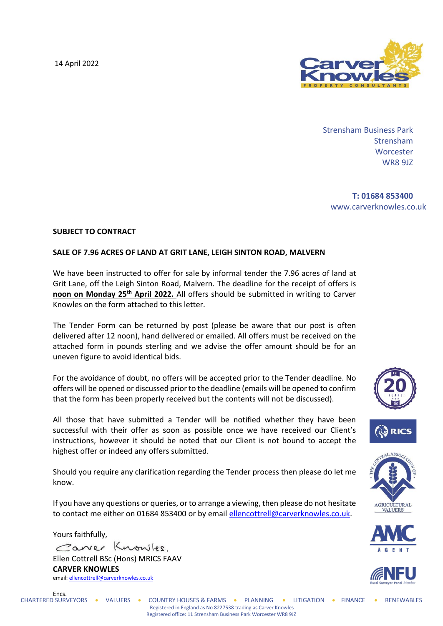14 April 2022



Strensham Business Park Strensham **Worcester** WR8 9JZ

**T: 01684 853400** www.carverknowles.co.uk

## **SUBJECT TO CONTRACT**

## **SALE OF 7.96 ACRES OF LAND AT GRIT LANE, LEIGH SINTON ROAD, MALVERN**

We have been instructed to offer for sale by informal tender the 7.96 acres of land at Grit Lane, off the Leigh Sinton Road, Malvern. The deadline for the receipt of offers is **noon on Monday 25th April 2022.** All offers should be submitted in writing to Carver Knowles on the form attached to this letter.

The Tender Form can be returned by post (please be aware that our post is often delivered after 12 noon), hand delivered or emailed. All offers must be received on the attached form in pounds sterling and we advise the offer amount should be for an uneven figure to avoid identical bids.

For the avoidance of doubt, no offers will be accepted prior to the Tender deadline. No offers will be opened or discussed prior to the deadline (emails will be opened to confirm that the form has been properly received but the contents will not be discussed).

All those that have submitted a Tender will be notified whether they have been successful with their offer as soon as possible once we have received our Client's instructions, however it should be noted that our Client is not bound to accept the highest offer or indeed any offers submitted.

Should you require any clarification regarding the Tender process then please do let me know.

If you have any questions or queries, or to arrange a viewing, then please do not hesitate to contact me either on 01684 853400 or by email [ellencottrell@carverknowles.co.uk.](mailto:ellencottrell@carverknowles.co.uk)

Yours faithfully, Caner Knowles. Ellen Cottrell BSc (Hons) MRICS FAAV **CARVER KNOWLES** email[: ellencottrell@carverknowles.co.uk](mailto:ellencottrell@carverknowles.co.uk)







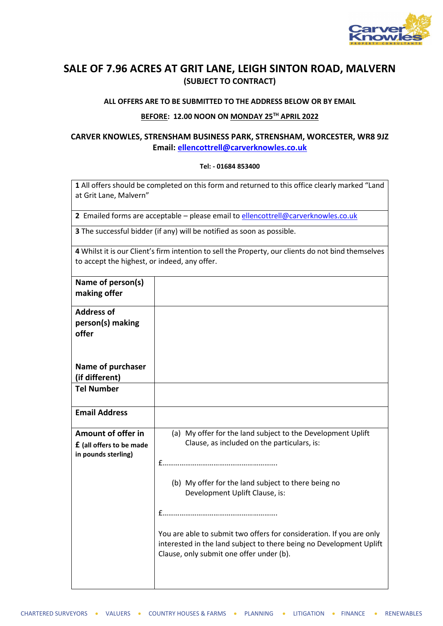

# **SALE OF 7.96 ACRES AT GRIT LANE, LEIGH SINTON ROAD, MALVERN (SUBJECT TO CONTRACT)**

#### **ALL OFFERS ARE TO BE SUBMITTED TO THE ADDRESS BELOW OR BY EMAIL**

# **BEFORE: 12.00 NOON ON MONDAY 25TH APRIL 2022**

# **CARVER KNOWLES, STRENSHAM BUSINESS PARK, STRENSHAM, WORCESTER, WR8 9JZ Email: [ellencottrell@carverknowles.co.uk](mailto:ellencottrell@carverknowles.co.uk)**

## **Tel: - 01684 853400**

**1** All offers should be completed on this form and returned to this office clearly marked "Land at Grit Lane, Malvern"

**2** Emailed forms are acceptable – please email to [ellencottrell@carverknowles.co.uk](mailto:ellencottrell@carverknowles.co.uk)

**3** The successful bidder (if any) will be notified as soon as possible.

| 4 Whilst it is our Client's firm intention to sell the Property, our clients do not bind themselves |
|-----------------------------------------------------------------------------------------------------|
| to accept the highest, or indeed, any offer.                                                        |

| Name of person(s)<br>making offer                                            |                                                                                                                                                                                         |
|------------------------------------------------------------------------------|-----------------------------------------------------------------------------------------------------------------------------------------------------------------------------------------|
| <b>Address of</b><br>person(s) making<br>offer                               |                                                                                                                                                                                         |
| Name of purchaser<br>(if different)                                          |                                                                                                                                                                                         |
| <b>Tel Number</b>                                                            |                                                                                                                                                                                         |
| <b>Email Address</b>                                                         |                                                                                                                                                                                         |
| Amount of offer in<br><b>f</b> (all offers to be made<br>in pounds sterling) | (a) My offer for the land subject to the Development Uplift<br>Clause, as included on the particulars, is:                                                                              |
|                                                                              | (b) My offer for the land subject to there being no<br>Development Uplift Clause, is:                                                                                                   |
|                                                                              |                                                                                                                                                                                         |
|                                                                              | You are able to submit two offers for consideration. If you are only<br>interested in the land subject to there being no Development Uplift<br>Clause, only submit one offer under (b). |
|                                                                              |                                                                                                                                                                                         |